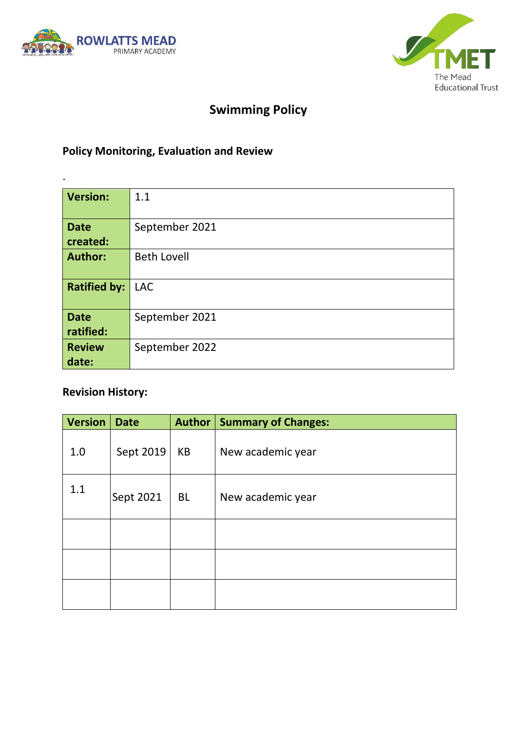

.



# **Swimming Policy**

## **Policy Monitoring, Evaluation and Review**

| <b>Version:</b>          | 1.1                |  |  |
|--------------------------|--------------------|--|--|
| <b>Date</b><br>created:  | September 2021     |  |  |
| <b>Author:</b>           | <b>Beth Lovell</b> |  |  |
| <b>Ratified by:</b>      | <b>LAC</b>         |  |  |
| <b>Date</b><br>ratified: | September 2021     |  |  |
| <b>Review</b><br>date:   | September 2022     |  |  |

### **Revision History:**

| <b>Version</b> | <b>Date</b> | Author    | <b>Summary of Changes:</b> |
|----------------|-------------|-----------|----------------------------|
| 1.0            | Sept 2019   | KB        | New academic year          |
| 1.1            | Sept 2021   | <b>BL</b> | New academic year          |
|                |             |           |                            |
|                |             |           |                            |
|                |             |           |                            |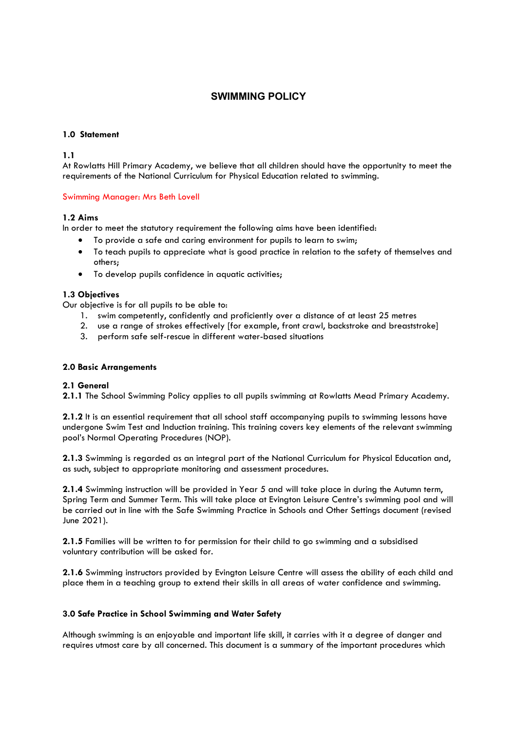### **SWIMMING POLICY**

#### **1.0 Statement**

**1.1**

At Rowlatts Hill Primary Academy, we believe that all children should have the opportunity to meet the requirements of the National Curriculum for Physical Education related to swimming.

#### Swimming Manager: Mrs Beth Lovell

#### **1.2 Aims**

In order to meet the statutory requirement the following aims have been identified:

- To provide a safe and caring environment for pupils to learn to swim;
- To teach pupils to appreciate what is good practice in relation to the safety of themselves and others;
- To develop pupils confidence in aquatic activities;

#### **1.3 Objectives**

Our objective is for all pupils to be able to:

- 1. swim competently, confidently and proficiently over a distance of at least 25 metres
- 2. use a range of strokes effectively [for example, front crawl, backstroke and breaststroke]
- 3. perform safe self-rescue in different water-based situations

#### **2.0 Basic Arrangements**

#### **2.1 General**

**2.1.1** The School Swimming Policy applies to all pupils swimming at Rowlatts Mead Primary Academy.

**2.1.2** It is an essential requirement that all school staff accompanying pupils to swimming lessons have undergone Swim Test and Induction training. This training covers key elements of the relevant swimming pool's Normal Operating Procedures (NOP).

**2.1.3** Swimming is regarded as an integral part of the National Curriculum for Physical Education and, as such, subject to appropriate monitoring and assessment procedures.

**2.1.4** Swimming instruction will be provided in Year 5 and will take place in during the Autumn term, Spring Term and Summer Term. This will take place at Evington Leisure Centre's swimming pool and will be carried out in line with the Safe Swimming Practice in Schools and Other Settings document (revised June 2021).

**2.1.5** Families will be written to for permission for their child to go swimming and a subsidised voluntary contribution will be asked for.

**2.1.6** Swimming instructors provided by Evington Leisure Centre will assess the ability of each child and place them in a teaching group to extend their skills in all areas of water confidence and swimming.

#### **3.0 Safe Practice in School Swimming and Water Safety**

Although swimming is an enjoyable and important life skill, it carries with it a degree of danger and requires utmost care by all concerned. This document is a summary of the important procedures which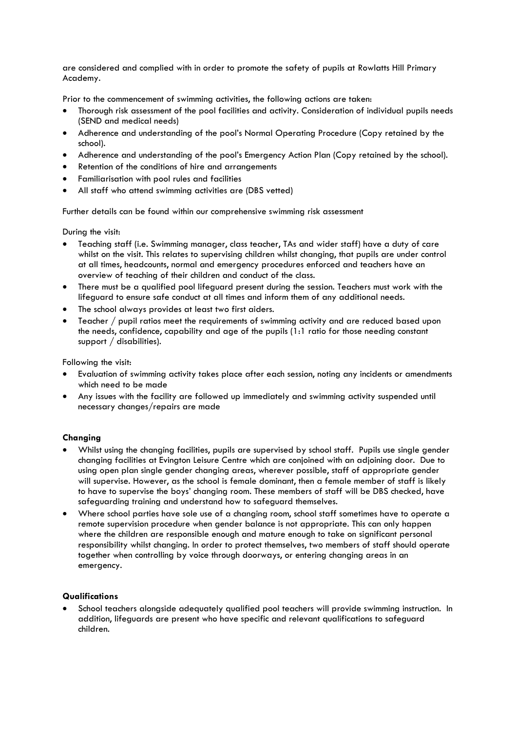are considered and complied with in order to promote the safety of pupils at Rowlatts Hill Primary Academy.

Prior to the commencement of swimming activities, the following actions are taken:

- Thorough risk assessment of the pool facilities and activity. Consideration of individual pupils needs (SEND and medical needs)
- Adherence and understanding of the pool's Normal Operating Procedure (Copy retained by the school).
- Adherence and understanding of the pool's Emergency Action Plan (Copy retained by the school).
- Retention of the conditions of hire and arrangements
- Familiarisation with pool rules and facilities
- All staff who attend swimming activities are (DBS vetted)

Further details can be found within our comprehensive swimming risk assessment

During the visit:

- Teaching staff (i.e. Swimming manager, class teacher, TAs and wider staff) have a duty of care whilst on the visit. This relates to supervising children whilst changing, that pupils are under control at all times, headcounts, normal and emergency procedures enforced and teachers have an overview of teaching of their children and conduct of the class.
- There must be a qualified pool lifeguard present during the session. Teachers must work with the lifeguard to ensure safe conduct at all times and inform them of any additional needs.
- The school always provides at least two first aiders.
- Teacher / pupil ratios meet the requirements of swimming activity and are reduced based upon the needs, confidence, capability and age of the pupils (1:1 ratio for those needing constant support / disabilities).

Following the visit:

- Evaluation of swimming activity takes place after each session, noting any incidents or amendments which need to be made
- Any issues with the facility are followed up immediately and swimming activity suspended until necessary changes/repairs are made

#### **Changing**

- Whilst using the changing facilities, pupils are supervised by school staff. Pupils use single gender changing facilities at Evington Leisure Centre which are conjoined with an adjoining door. Due to using open plan single gender changing areas, wherever possible, staff of appropriate gender will supervise. However, as the school is female dominant, then a female member of staff is likely to have to supervise the boys' changing room. These members of staff will be DBS checked, have safeguarding training and understand how to safeguard themselves.
- Where school parties have sole use of a changing room, school staff sometimes have to operate a remote supervision procedure when gender balance is not appropriate. This can only happen where the children are responsible enough and mature enough to take on significant personal responsibility whilst changing. In order to protect themselves, two members of staff should operate together when controlling by voice through doorways, or entering changing areas in an emergency.

#### **Qualifications**

School teachers alongside adequately qualified pool teachers will provide swimming instruction. In addition, lifeguards are present who have specific and relevant qualifications to safeguard children.